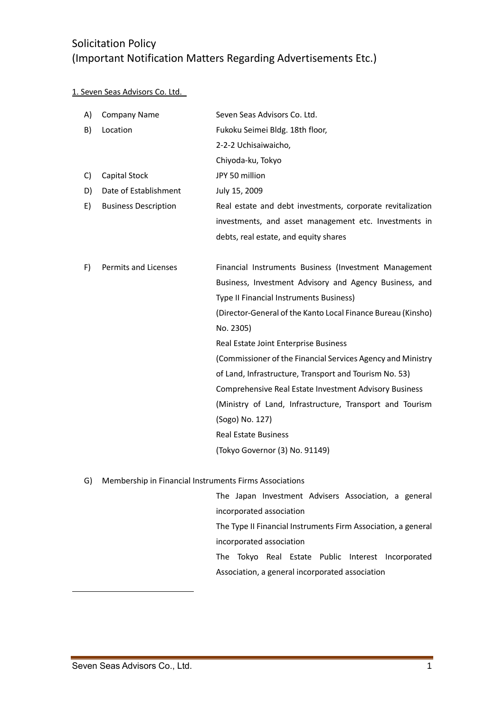#### 1. Seven Seas Advisors Co. Ltd.

| A) | <b>Company Name</b>         | Seven Seas Advisors Co. Ltd.                                 |
|----|-----------------------------|--------------------------------------------------------------|
| B) | Location                    | Fukoku Seimei Bldg. 18th floor,                              |
|    |                             | 2-2-2 Uchisaiwaicho,                                         |
|    |                             | Chiyoda-ku, Tokyo                                            |
| C) | Capital Stock               | JPY 50 million                                               |
| D) | Date of Establishment       | July 15, 2009                                                |
| E) | <b>Business Description</b> | Real estate and debt investments, corporate revitalization   |
|    |                             | investments, and asset management etc. Investments in        |
|    |                             | debts, real estate, and equity shares                        |
|    |                             |                                                              |
| F) | Permits and Licenses        | Financial Instruments Business (Investment Management        |
|    |                             | Business, Investment Advisory and Agency Business, and       |
|    |                             | Type II Financial Instruments Business)                      |
|    |                             | (Director-General of the Kanto Local Finance Bureau (Kinsho) |
|    |                             | No. 2305)                                                    |
|    |                             | Real Estate Joint Enterprise Business                        |
|    |                             | (Commissioner of the Financial Services Agency and Ministry  |
|    |                             | of Land, Infrastructure, Transport and Tourism No. 53)       |
|    |                             | Comprehensive Real Estate Investment Advisory Business       |
|    |                             | (Ministry of Land, Infrastructure, Transport and Tourism     |
|    |                             | (Sogo) No. 127)                                              |
|    |                             | <b>Real Estate Business</b>                                  |
|    |                             | (Tokyo Governor (3) No. 91149)                               |
|    |                             |                                                              |

G) Membership in Financial Instruments Firms Associations

The Japan Investment Advisers Association, a general incorporated association The Type II Financial Instruments Firm Association, a general incorporated association The Tokyo Real Estate Public Interest Incorporated Association, a general incorporated association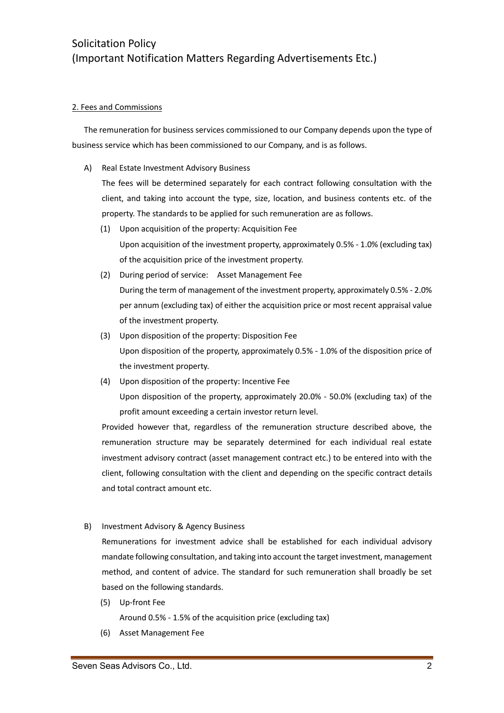#### 2. Fees and Commissions

The remuneration for business services commissioned to our Company depends upon the type of business service which has been commissioned to our Company, and is as follows.

A) Real Estate Investment Advisory Business

The fees will be determined separately for each contract following consultation with the client, and taking into account the type, size, location, and business contents etc. of the property. The standards to be applied for such remuneration are as follows.

- (1) Upon acquisition of the property: Acquisition Fee Upon acquisition of the investment property, approximately 0.5% - 1.0% (excluding tax) of the acquisition price of the investment property.
- (2) During period of service: Asset Management Fee During the term of management of the investment property, approximately 0.5% - 2.0% per annum (excluding tax) of either the acquisition price or most recent appraisal value of the investment property.
- (3) Upon disposition of the property: Disposition Fee Upon disposition of the property, approximately 0.5% - 1.0% of the disposition price of the investment property.
- (4) Upon disposition of the property: Incentive Fee Upon disposition of the property, approximately 20.0% - 50.0% (excluding tax) of the profit amount exceeding a certain investor return level.

Provided however that, regardless of the remuneration structure described above, the remuneration structure may be separately determined for each individual real estate investment advisory contract (asset management contract etc.) to be entered into with the client, following consultation with the client and depending on the specific contract details and total contract amount etc.

B) Investment Advisory & Agency Business

Remunerations for investment advice shall be established for each individual advisory mandate following consultation, and taking into account the target investment, management method, and content of advice. The standard for such remuneration shall broadly be set based on the following standards.

(5) Up-front Fee

Around 0.5% - 1.5% of the acquisition price (excluding tax)

(6) Asset Management Fee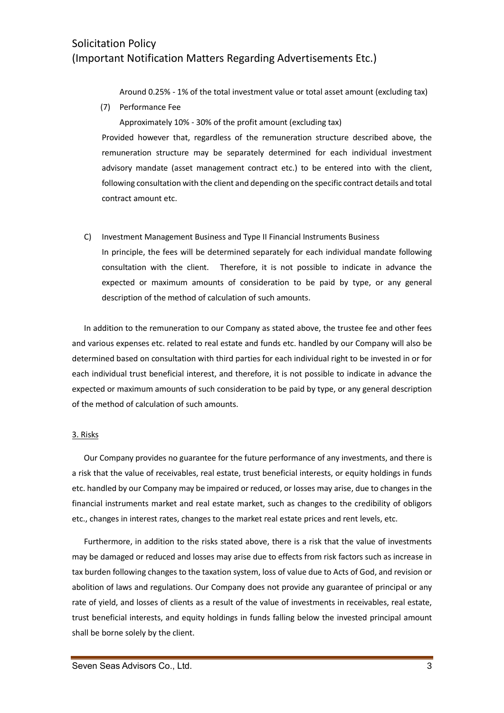Around 0.25% - 1% of the total investment value or total asset amount (excluding tax)

(7) Performance Fee

Approximately 10% - 30% of the profit amount (excluding tax) Provided however that, regardless of the remuneration structure described above, the remuneration structure may be separately determined for each individual investment advisory mandate (asset management contract etc.) to be entered into with the client, following consultation with the client and depending on the specific contract details and total contract amount etc.

C) Investment Management Business and Type II Financial Instruments Business In principle, the fees will be determined separately for each individual mandate following consultation with the client. Therefore, it is not possible to indicate in advance the expected or maximum amounts of consideration to be paid by type, or any general description of the method of calculation of such amounts.

In addition to the remuneration to our Company as stated above, the trustee fee and other fees and various expenses etc. related to real estate and funds etc. handled by our Company will also be determined based on consultation with third parties for each individual right to be invested in or for each individual trust beneficial interest, and therefore, it is not possible to indicate in advance the expected or maximum amounts of such consideration to be paid by type, or any general description of the method of calculation of such amounts.

#### 3. Risks

Our Company provides no guarantee for the future performance of any investments, and there is a risk that the value of receivables, real estate, trust beneficial interests, or equity holdings in funds etc. handled by our Company may be impaired or reduced, or losses may arise, due to changes in the financial instruments market and real estate market, such as changes to the credibility of obligors etc., changes in interest rates, changes to the market real estate prices and rent levels, etc.

Furthermore, in addition to the risks stated above, there is a risk that the value of investments may be damaged or reduced and losses may arise due to effects from risk factors such as increase in tax burden following changes to the taxation system, loss of value due to Acts of God, and revision or abolition of laws and regulations. Our Company does not provide any guarantee of principal or any rate of yield, and losses of clients as a result of the value of investments in receivables, real estate, trust beneficial interests, and equity holdings in funds falling below the invested principal amount shall be borne solely by the client.